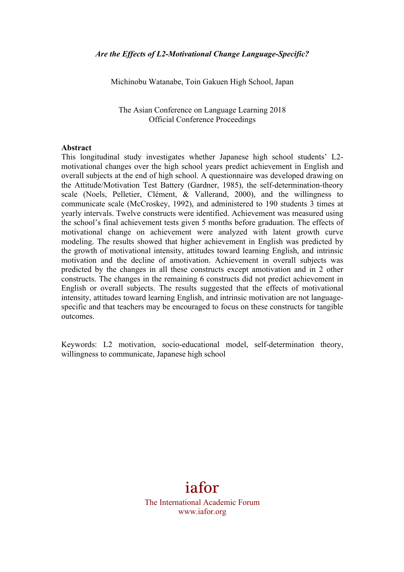Michinobu Watanabe, Toin Gakuen High School, Japan

The Asian Conference on Language Learning 2018 Official Conference Proceedings

#### **Abstract**

This longitudinal study investigates whether Japanese high school students' L2 motivational changes over the high school years predict achievement in English and overall subjects at the end of high school. A questionnaire was developed drawing on the Attitude/Motivation Test Battery (Gardner, 1985), the self-determination-theory scale (Noels, Pelletier, Clément, & Vallerand, 2000), and the willingness to communicate scale (McCroskey, 1992), and administered to 190 students 3 times at yearly intervals. Twelve constructs were identified. Achievement was measured using the school's final achievement tests given 5 months before graduation. The effects of motivational change on achievement were analyzed with latent growth curve modeling. The results showed that higher achievement in English was predicted by the growth of motivational intensity, attitudes toward learning English, and intrinsic motivation and the decline of amotivation. Achievement in overall subjects was predicted by the changes in all these constructs except amotivation and in 2 other constructs. The changes in the remaining 6 constructs did not predict achievement in English or overall subjects. The results suggested that the effects of motivational intensity, attitudes toward learning English, and intrinsic motivation are not languagespecific and that teachers may be encouraged to focus on these constructs for tangible outcomes.

Keywords: L2 motivation, socio-educational model, self-determination theory, willingness to communicate, Japanese high school

# iafor

The International Academic Forum www.iafor.org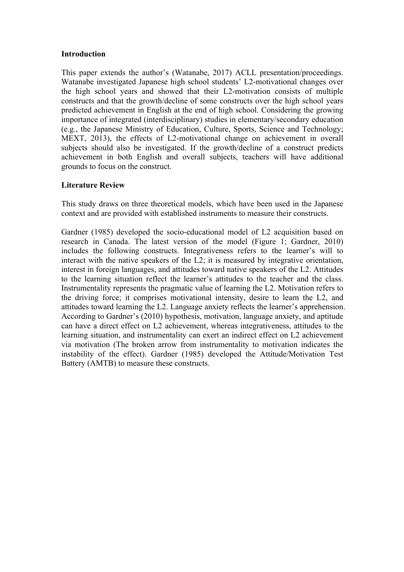### **Introduction**

This paper extends the author's (Watanabe, 2017) ACLL presentation/proceedings. Watanabe investigated Japanese high school students' L2-motivational changes over the high school years and showed that their L2-motivation consists of multiple constructs and that the growth/decline of some constructs over the high school years predicted achievement in English at the end of high school. Considering the growing importance of integrated (interdisciplinary) studies in elementary/secondary education (e.g., the Japanese Ministry of Education, Culture, Sports, Science and Technology; MEXT, 2013), the effects of L2-motivational change on achievement in overall subjects should also be investigated. If the growth/decline of a construct predicts achievement in both English and overall subjects, teachers will have additional grounds to focus on the construct.

### **Literature Review**

This study draws on three theoretical models, which have been used in the Japanese context and are provided with established instruments to measure their constructs.

Gardner (1985) developed the socio-educational model of L2 acquisition based on research in Canada. The latest version of the model (Figure 1; Gardner, 2010) includes the following constructs. Integrativeness refers to the learner's will to interact with the native speakers of the L2; it is measured by integrative orientation, interest in foreign languages, and attitudes toward native speakers of the L2. Attitudes to the learning situation reflect the learner's attitudes to the teacher and the class. Instrumentality represents the pragmatic value of learning the L2. Motivation refers to the driving force; it comprises motivational intensity, desire to learn the L2, and attitudes toward learning the L2. Language anxiety reflects the learner's apprehension. According to Gardner's (2010) hypothesis, motivation, language anxiety, and aptitude can have a direct effect on L2 achievement, whereas integrativeness, attitudes to the learning situation, and instrumentality can exert an indirect effect on L2 achievement via motivation (The broken arrow from instrumentality to motivation indicates the instability of the effect). Gardner (1985) developed the Attitude/Motivation Test Battery (AMTB) to measure these constructs.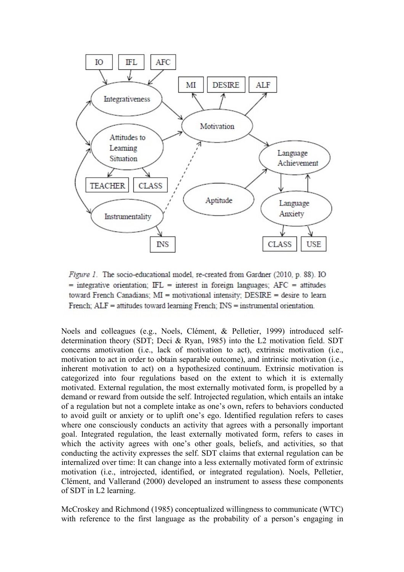

Figure 1. The socio-educational model, re-created from Gardner (2010, p. 88). IO  $=$  integrative orientation; IFL  $=$  interest in foreign languages; AFC  $=$  attitudes toward French Canadians;  $MI =$  motivational intensity;  $DESIRE =$  desire to learn French; ALF = attitudes toward learning French; INS = instrumental orientation.

Noels and colleagues (e.g., Noels, Clément, & Pelletier, 1999) introduced selfdetermination theory (SDT; Deci & Ryan, 1985) into the L2 motivation field. SDT concerns amotivation (i.e., lack of motivation to act), extrinsic motivation (i.e., motivation to act in order to obtain separable outcome), and intrinsic motivation (i.e., inherent motivation to act) on a hypothesized continuum. Extrinsic motivation is categorized into four regulations based on the extent to which it is externally motivated. External regulation, the most externally motivated form, is propelled by a demand or reward from outside the self. Introjected regulation, which entails an intake of a regulation but not a complete intake as one's own, refers to behaviors conducted to avoid guilt or anxiety or to uplift one's ego. Identified regulation refers to cases where one consciously conducts an activity that agrees with a personally important goal. Integrated regulation, the least externally motivated form, refers to cases in which the activity agrees with one's other goals, beliefs, and activities, so that conducting the activity expresses the self. SDT claims that external regulation can be internalized over time: It can change into a less externally motivated form of extrinsic motivation (i.e., introjected, identified, or integrated regulation). Noels, Pelletier, Clément, and Vallerand (2000) developed an instrument to assess these components of SDT in L2 learning.

McCroskey and Richmond (1985) conceptualized willingness to communicate (WTC) with reference to the first language as the probability of a person's engaging in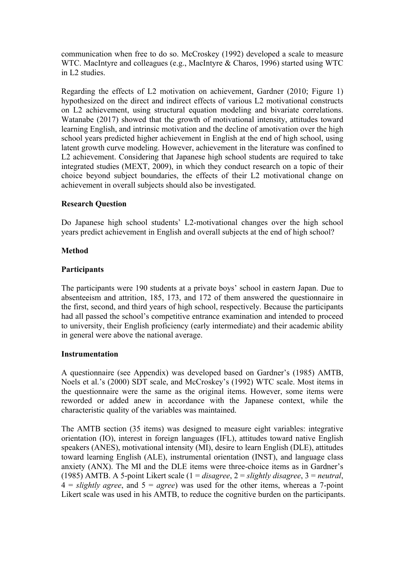communication when free to do so. McCroskey (1992) developed a scale to measure WTC. MacIntyre and colleagues (e.g., MacIntyre & Charos, 1996) started using WTC in L2 studies.

Regarding the effects of L2 motivation on achievement, Gardner (2010; Figure 1) hypothesized on the direct and indirect effects of various L2 motivational constructs on L2 achievement, using structural equation modeling and bivariate correlations. Watanabe (2017) showed that the growth of motivational intensity, attitudes toward learning English, and intrinsic motivation and the decline of amotivation over the high school years predicted higher achievement in English at the end of high school, using latent growth curve modeling. However, achievement in the literature was confined to L2 achievement. Considering that Japanese high school students are required to take integrated studies (MEXT, 2009), in which they conduct research on a topic of their choice beyond subject boundaries, the effects of their L2 motivational change on achievement in overall subjects should also be investigated.

# **Research Question**

Do Japanese high school students' L2-motivational changes over the high school years predict achievement in English and overall subjects at the end of high school?

### **Method**

### **Participants**

The participants were 190 students at a private boys' school in eastern Japan. Due to absenteeism and attrition, 185, 173, and 172 of them answered the questionnaire in the first, second, and third years of high school, respectively. Because the participants had all passed the school's competitive entrance examination and intended to proceed to university, their English proficiency (early intermediate) and their academic ability in general were above the national average.

### **Instrumentation**

A questionnaire (see Appendix) was developed based on Gardner's (1985) AMTB, Noels et al.'s (2000) SDT scale, and McCroskey's (1992) WTC scale. Most items in the questionnaire were the same as the original items. However, some items were reworded or added anew in accordance with the Japanese context, while the characteristic quality of the variables was maintained.

The AMTB section (35 items) was designed to measure eight variables: integrative orientation (IO), interest in foreign languages (IFL), attitudes toward native English speakers (ANES), motivational intensity (MI), desire to learn English (DLE), attitudes toward learning English (ALE), instrumental orientation (INST), and language class anxiety (ANX). The MI and the DLE items were three-choice items as in Gardner's (1985) AMTB. A 5-point Likert scale (1 = *disagree*, 2 = *slightly disagree*, 3 = *neutral*,  $4 =$  *slightly agree*, and  $5 =$  *agree*) was used for the other items, whereas a 7-point Likert scale was used in his AMTB, to reduce the cognitive burden on the participants.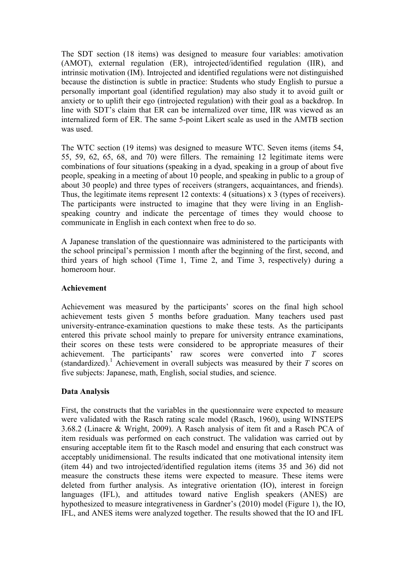The SDT section (18 items) was designed to measure four variables: amotivation (AMOT), external regulation (ER), introjected/identified regulation (IIR), and intrinsic motivation (IM). Introjected and identified regulations were not distinguished because the distinction is subtle in practice: Students who study English to pursue a personally important goal (identified regulation) may also study it to avoid guilt or anxiety or to uplift their ego (introjected regulation) with their goal as a backdrop. In line with SDT's claim that ER can be internalized over time, IIR was viewed as an internalized form of ER. The same 5-point Likert scale as used in the AMTB section was used.

The WTC section (19 items) was designed to measure WTC. Seven items (items 54, 55, 59, 62, 65, 68, and 70) were fillers. The remaining 12 legitimate items were combinations of four situations (speaking in a dyad, speaking in a group of about five people, speaking in a meeting of about 10 people, and speaking in public to a group of about 30 people) and three types of receivers (strangers, acquaintances, and friends). Thus, the legitimate items represent 12 contexts: 4 (situations) x 3 (types of receivers). The participants were instructed to imagine that they were living in an Englishspeaking country and indicate the percentage of times they would choose to communicate in English in each context when free to do so.

A Japanese translation of the questionnaire was administered to the participants with the school principal's permission 1 month after the beginning of the first, second, and third years of high school (Time 1, Time 2, and Time 3, respectively) during a homeroom hour.

## **Achievement**

Achievement was measured by the participants' scores on the final high school achievement tests given 5 months before graduation. Many teachers used past university-entrance-examination questions to make these tests. As the participants entered this private school mainly to prepare for university entrance examinations, their scores on these tests were considered to be appropriate measures of their achievement. The participants' raw scores were converted into *T* scores (standardized). <sup>1</sup> Achievement in overall subjects was measured by their *T* scores on five subjects: Japanese, math, English, social studies, and science.

# **Data Analysis**

First, the constructs that the variables in the questionnaire were expected to measure were validated with the Rasch rating scale model (Rasch, 1960), using WINSTEPS 3.68.2 (Linacre & Wright, 2009). A Rasch analysis of item fit and a Rasch PCA of item residuals was performed on each construct. The validation was carried out by ensuring acceptable item fit to the Rasch model and ensuring that each construct was acceptably unidimensional. The results indicated that one motivational intensity item (item 44) and two introjected/identified regulation items (items 35 and 36) did not measure the constructs these items were expected to measure. These items were deleted from further analysis. As integrative orientation (IO), interest in foreign languages (IFL), and attitudes toward native English speakers (ANES) are hypothesized to measure integrativeness in Gardner's (2010) model (Figure 1), the IO, IFL, and ANES items were analyzed together. The results showed that the IO and IFL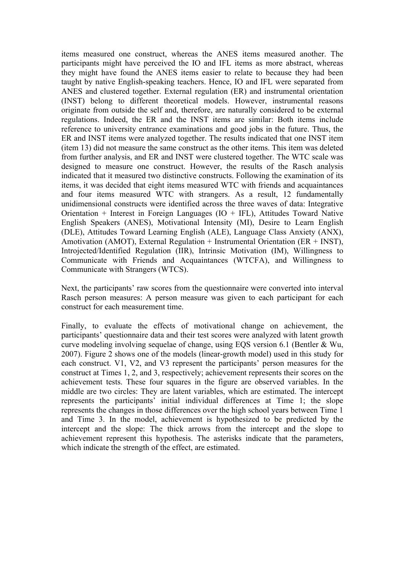items measured one construct, whereas the ANES items measured another. The participants might have perceived the IO and IFL items as more abstract, whereas they might have found the ANES items easier to relate to because they had been taught by native English-speaking teachers. Hence, IO and IFL were separated from ANES and clustered together. External regulation (ER) and instrumental orientation (INST) belong to different theoretical models. However, instrumental reasons originate from outside the self and, therefore, are naturally considered to be external regulations. Indeed, the ER and the INST items are similar: Both items include reference to university entrance examinations and good jobs in the future. Thus, the ER and INST items were analyzed together. The results indicated that one INST item (item 13) did not measure the same construct as the other items. This item was deleted from further analysis, and ER and INST were clustered together. The WTC scale was designed to measure one construct. However, the results of the Rasch analysis indicated that it measured two distinctive constructs. Following the examination of its items, it was decided that eight items measured WTC with friends and acquaintances and four items measured WTC with strangers. As a result, 12 fundamentally unidimensional constructs were identified across the three waves of data: Integrative Orientation + Interest in Foreign Languages  $(IO + IFL)$ , Attitudes Toward Native English Speakers (ANES), Motivational Intensity (MI), Desire to Learn English (DLE), Attitudes Toward Learning English (ALE), Language Class Anxiety (ANX), Amotivation (AMOT), External Regulation + Instrumental Orientation (ER + INST), Introjected/Identified Regulation (IIR), Intrinsic Motivation (IM), Willingness to Communicate with Friends and Acquaintances (WTCFA), and Willingness to Communicate with Strangers (WTCS).

Next, the participants' raw scores from the questionnaire were converted into interval Rasch person measures: A person measure was given to each participant for each construct for each measurement time.

Finally, to evaluate the effects of motivational change on achievement, the participants' questionnaire data and their test scores were analyzed with latent growth curve modeling involving sequelae of change, using EQS version 6.1 (Bentler & Wu, 2007). Figure 2 shows one of the models (linear-growth model) used in this study for each construct. V1, V2, and V3 represent the participants' person measures for the construct at Times 1, 2, and 3, respectively; achievement represents their scores on the achievement tests. These four squares in the figure are observed variables. In the middle are two circles: They are latent variables, which are estimated. The intercept represents the participants' initial individual differences at Time 1; the slope represents the changes in those differences over the high school years between Time 1 and Time 3. In the model, achievement is hypothesized to be predicted by the intercept and the slope: The thick arrows from the intercept and the slope to achievement represent this hypothesis. The asterisks indicate that the parameters, which indicate the strength of the effect, are estimated.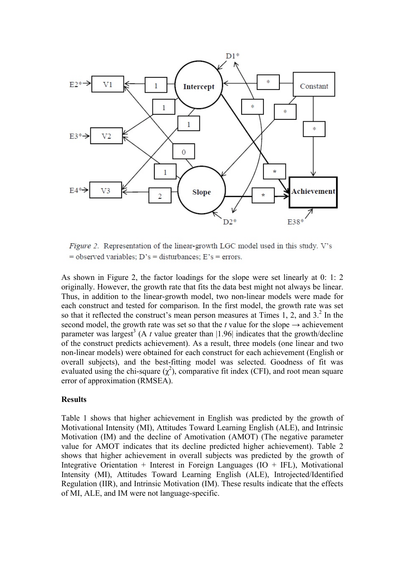

Figure 2. Representation of the linear-growth LGC model used in this study. V's  $=$  observed variables; D's  $=$  disturbances; E's  $=$  errors.

As shown in Figure 2, the factor loadings for the slope were set linearly at 0: 1: 2 originally. However, the growth rate that fits the data best might not always be linear. Thus, in addition to the linear-growth model, two non-linear models were made for each construct and tested for comparison. In the first model, the growth rate was set so that it reflected the construct's mean person measures at Times 1, 2, and  $3<sup>2</sup>$ . In the second model, the growth rate was set so that the *t* value for the slope  $\rightarrow$  achievement parameter was largest<sup>3</sup> (A  $t$  value greater than  $|1.96|$  indicates that the growth/decline of the construct predicts achievement). As a result, three models (one linear and two non-linear models) were obtained for each construct for each achievement (English or overall subjects), and the best-fitting model was selected. Goodness of fit was evaluated using the chi-square  $(\chi^2)$ , comparative fit index (CFI), and root mean square error of approximation (RMSEA).

### **Results**

Table 1 shows that higher achievement in English was predicted by the growth of Motivational Intensity (MI), Attitudes Toward Learning English (ALE), and Intrinsic Motivation (IM) and the decline of Amotivation (AMOT) (The negative parameter value for AMOT indicates that its decline predicted higher achievement). Table 2 shows that higher achievement in overall subjects was predicted by the growth of Integrative Orientation + Interest in Foreign Languages  $(IO + IFL)$ , Motivational Intensity (MI), Attitudes Toward Learning English (ALE), Introjected/Identified Regulation (IIR), and Intrinsic Motivation (IM). These results indicate that the effects of MI, ALE, and IM were not language-specific.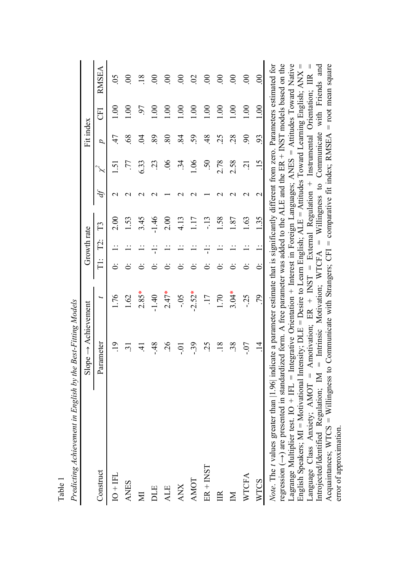| Predicting Achievement in English by the                                                                                                                                                                                                                                                                                                                                                                                                                                                                                                                                                                                          | Best-Fitting Models |                                                                                                                                                                                                   |                         |                                            |         |                                |                                                             |                 |                              |                                            |
|-----------------------------------------------------------------------------------------------------------------------------------------------------------------------------------------------------------------------------------------------------------------------------------------------------------------------------------------------------------------------------------------------------------------------------------------------------------------------------------------------------------------------------------------------------------------------------------------------------------------------------------|---------------------|---------------------------------------------------------------------------------------------------------------------------------------------------------------------------------------------------|-------------------------|--------------------------------------------|---------|--------------------------------|-------------------------------------------------------------|-----------------|------------------------------|--------------------------------------------|
|                                                                                                                                                                                                                                                                                                                                                                                                                                                                                                                                                                                                                                   | $Slope \rightarrow$ | Achievement                                                                                                                                                                                       |                         | Growth rate                                |         |                                |                                                             | Fit index       |                              |                                            |
| Construct                                                                                                                                                                                                                                                                                                                                                                                                                                                                                                                                                                                                                         | Parameter           | J                                                                                                                                                                                                 | $\frac{1}{\Box}$        | $\Gamma$ 2:                                | $\Xi$   | Ą                              |                                                             | p               | E                            | RMSEA                                      |
| $IO + IFL$                                                                                                                                                                                                                                                                                                                                                                                                                                                                                                                                                                                                                        | $\overline{5}$      | 1.76                                                                                                                                                                                              |                         |                                            | 2.00    | $\mathrel{\sim}$               | $\sim$                                                      | $\frac{4}{7}$   | S                            | $\overline{5}$                             |
| <b>ANES</b>                                                                                                                                                                                                                                                                                                                                                                                                                                                                                                                                                                                                                       | $\Xi$               | 1.62                                                                                                                                                                                              |                         |                                            | 1.53    | $\mathbf{\sim}$                | LL.                                                         | 89              | $\frac{8}{1}$                | 8                                          |
| ΣÏ                                                                                                                                                                                                                                                                                                                                                                                                                                                                                                                                                                                                                                | $\pm$               | $2.85*$                                                                                                                                                                                           |                         |                                            | 3.45    | $\sim$                         | 6.33                                                        | Z               | 6                            | $\frac{8}{18}$                             |
| DLE                                                                                                                                                                                                                                                                                                                                                                                                                                                                                                                                                                                                                               | $\frac{48}{3}$      | $-1.40$                                                                                                                                                                                           |                         |                                            | $-1.46$ | $\mathrel{\sim}$               | $\tilde{\omega}$                                            | 89              | $\mathcal{S}$                | 8                                          |
| <b>ALE</b>                                                                                                                                                                                                                                                                                                                                                                                                                                                                                                                                                                                                                        | $\overline{26}$     | $2.47*$                                                                                                                                                                                           |                         |                                            | 2.00    |                                | $\widetilde{90}$                                            | $80\,$          | S                            | $\rm\approx$                               |
| <b>ANX</b>                                                                                                                                                                                                                                                                                                                                                                                                                                                                                                                                                                                                                        | $-0.$               | $-0.5$                                                                                                                                                                                            |                         |                                            | 4.13    |                                | $\ddot{3}$                                                  | $\overline{84}$ | $\frac{8}{1}$                | $\mathsf{S}$                               |
| AMOT                                                                                                                                                                                                                                                                                                                                                                                                                                                                                                                                                                                                                              | $-39$               | $-2.52*$                                                                                                                                                                                          |                         |                                            | 1.17    |                                | 1.06                                                        | 59              | $\frac{1}{2}$                | $\Omega$                                   |
| $ER + INST$                                                                                                                                                                                                                                                                                                                                                                                                                                                                                                                                                                                                                       | $\overline{5}$      | $\overline{17}$                                                                                                                                                                                   |                         |                                            | $-13$   |                                | 50                                                          | $\frac{48}{5}$  | $\frac{8}{1}$                | $\infty$                                   |
| IIR                                                                                                                                                                                                                                                                                                                                                                                                                                                                                                                                                                                                                               | 18                  | 1.70                                                                                                                                                                                              |                         |                                            | 1.58    |                                | 2.78                                                        | 25              | $\overline{00}$              | $\infty$                                   |
| $\overline{\mathbf{M}}$                                                                                                                                                                                                                                                                                                                                                                                                                                                                                                                                                                                                           | 38                  | $3.04*$                                                                                                                                                                                           |                         |                                            | 1.87    |                                | 2.58                                                        | 28              | $\frac{1}{2}$                | $\infty$                                   |
| <b>WTCFA</b>                                                                                                                                                                                                                                                                                                                                                                                                                                                                                                                                                                                                                      | $-0$ .              | $-25$                                                                                                                                                                                             |                         |                                            | 1.63    |                                | $\overline{c}$                                              | $\mathcal{S}$   | 1.00                         | $\infty$                                   |
| WTCS                                                                                                                                                                                                                                                                                                                                                                                                                                                                                                                                                                                                                              | $\vec{a}$           | 56                                                                                                                                                                                                | .<br>ت                  |                                            | 1.35    | $\mathbf{\sim}$                | $\frac{15}{2}$                                              | 93              | 00.1                         | $\rm ^{\rm 8}$                             |
| regression $(\rightarrow)$ are presented in standardized form. A free parameter was added to the ALE and the ER + INST models based on the<br>Lagrange Multiplier test. $IO + IFL =$ Integrative Orientation + Interest in Foreign Languages; ANES = Attitudes Toward Native<br>English Speakers; MI = Motivational Intensity; DLE = Desire to Learn English; $ALE =$ Attitudes Toward Learning English; $ANX$<br>Language Class Anxiety; $AMOT =$ Amotivation;<br>Introjected/Identified Regulation; $IM =$<br>Note. The t values greater than [1.96] indi<br>Acquaintances; $WICS = Williamgress$ to<br>error of approximation. |                     | cate a parameter estimate that is significantly different from zero. Parameters estimated for<br>Communicate with Strangers; CFI<br>Intrinsic Motivation; WTCFA<br><b>INST</b><br>ER <sup>+</sup> | $\overline{\mathbf{I}}$ | External<br>$\mathsf{II}$<br>$\mathbf{  }$ |         | Regulation +<br>Willingness to | Communicate<br>comparative fit index; RMSEA<br>Instrumental |                 | with Friends<br>Orientation; | $=$ root mean square<br>and<br>$\mathbb H$ |

Table 1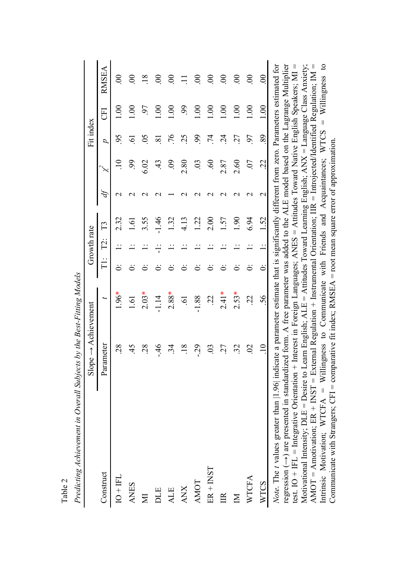|                                                                                                                                                                                                                                                                                                                                                                                                                     | $Slope \rightarrow Achievement$ |                                                                                                                                                                                                                                                                              |                  | Growth rate |            |                  |                          | Fit index     |               |                |
|---------------------------------------------------------------------------------------------------------------------------------------------------------------------------------------------------------------------------------------------------------------------------------------------------------------------------------------------------------------------------------------------------------------------|---------------------------------|------------------------------------------------------------------------------------------------------------------------------------------------------------------------------------------------------------------------------------------------------------------------------|------------------|-------------|------------|------------------|--------------------------|---------------|---------------|----------------|
| Construct                                                                                                                                                                                                                                                                                                                                                                                                           | ameter<br>Par                   | J                                                                                                                                                                                                                                                                            | $\frac{1}{\Box}$ | $\dot{\Xi}$ | $\Gamma$ 3 | $\hat{p}$        |                          | $\mathcal{L}$ | EE            | RMSEA          |
| $IO + F1$                                                                                                                                                                                                                                                                                                                                                                                                           | 28                              | $1.96*$                                                                                                                                                                                                                                                                      |                  |             | 232        | $\mathrel{\sim}$ |                          | 95            | $\frac{8}{1}$ | 8              |
| <b>ANES</b>                                                                                                                                                                                                                                                                                                                                                                                                         |                                 | 1.61                                                                                                                                                                                                                                                                         |                  |             | 1.61       | $\mathrel{\sim}$ | S,                       | ত<br>         | 00.1          | 8              |
| $\mathbb N$                                                                                                                                                                                                                                                                                                                                                                                                         | 28                              | $2.03*$                                                                                                                                                                                                                                                                      |                  |             | 3.55       |                  | 6.02                     | 65            | 6             | $\frac{8}{18}$ |
| DLE                                                                                                                                                                                                                                                                                                                                                                                                                 | $-46$                           | $-1.14$                                                                                                                                                                                                                                                                      |                  |             | 1.46       |                  | $\ddot{4}$               | ವ             | $\frac{8}{1}$ | $\mathbf{S}$   |
| <b>ALE</b>                                                                                                                                                                                                                                                                                                                                                                                                          | $\dot{z}$                       | $2.88*$                                                                                                                                                                                                                                                                      |                  |             | 1.32       |                  | $\ddot{6}$               | 97            | $\mathcal{S}$ | $\infty$       |
| <b>ANX</b>                                                                                                                                                                                                                                                                                                                                                                                                          | $\overline{18}$                 | $\tilde{\mathcal{S}}$                                                                                                                                                                                                                                                        |                  |             | 4.13       |                  | 2.80                     | 25            | $\mathcal{S}$ |                |
| <b>AMOT</b>                                                                                                                                                                                                                                                                                                                                                                                                         | $-29$                           | $-1.88$                                                                                                                                                                                                                                                                      |                  |             | 1.22       |                  | $\widetilde{\mathrm{S}}$ | 66            | $\frac{8}{1}$ | <u>ළ</u>       |
| $ER + NST$                                                                                                                                                                                                                                                                                                                                                                                                          | $\mathfrak{S}$                  | $\tilde{\mathcal{L}}$                                                                                                                                                                                                                                                        |                  |             | 2.00       |                  | $\hat{e}$                | $\vec{r}$     | 00.1          | $\infty$       |
| E                                                                                                                                                                                                                                                                                                                                                                                                                   | 27                              | $2.41*$                                                                                                                                                                                                                                                                      |                  |             | 1.57       |                  | 2.87                     | $\vec{c}$     | $\frac{8}{1}$ | S              |
| $\overline{\mathbf{M}}$                                                                                                                                                                                                                                                                                                                                                                                             | 32                              | $2.53*$                                                                                                                                                                                                                                                                      |                  |             | 061        |                  | 2.60                     | 27            | $\frac{8}{1}$ | $\mathbf{S}$   |
| <b>WTCFA</b>                                                                                                                                                                                                                                                                                                                                                                                                        | $\infty$                        | $\tilde{\mathcal{C}}$                                                                                                                                                                                                                                                        |                  |             | 6.94       | $\mathrel{\sim}$ | $\overline{0}$           | 57            | $\frac{0}{1}$ | S              |
| <b>WTCS</b>                                                                                                                                                                                                                                                                                                                                                                                                         | $\Xi$                           | 56                                                                                                                                                                                                                                                                           | ö                |             | 1.52       | $\mathbf 2$      | Sj                       | 89            | 1.00          | 8              |
| Note. The t values greater than [1.96] indicate a parameter estimate that is significantly different from zero. Parameters estimated for<br>regression $(-)$ are presented in standardized form. A free parameter was added to the ALE model based on the Lagrange Multiplier<br>test. IO + IFL = Integrative Orientation +<br>Motivational Intensity; $DLE =$ Desire to L<br>AMOT = Amotivation; $ER + INST = Ext$ |                                 | Interest in Foreign Languages; ANES = Attitudes Toward Native English Speakers; MI =<br>earn English; $ALE =$ Attitudes Toward Learning English; $ANX =$ Language Class Anxiety;<br>ernal Regulation + Instrumental Orientation; IIR = Introjected/Identified Regulation; IM |                  |             |            |                  |                          |               |               | $\mathsf{I}$   |

AMOT = Amotivation; ER + INST = External Regulation + Instrumental Orientation; IIR = Introjected/Identified Regulation; IM = Intrinsic Motivation; WTCFA = Willingness to Communicate with Friends and Acquaintances; WTCS = Willingness to

Communicate with Strangers;  $CFI = \text{comparative fit index}$ ; RMSEA = root mean square error of approximation.

Intrinsic Motivation; WTCFA = Willingness to Communicate with Friends and Acquaintances; WTCS = Willingness to Communicate with Strangers; CFI = comparative fit index; RMSEA = root mean square error of approximation.

Predicting Achievement in Overall Subjects by the Best-Fitting Models *Predicting Achievement in Overall Subjects by the Best-Fitting Models*

Table 2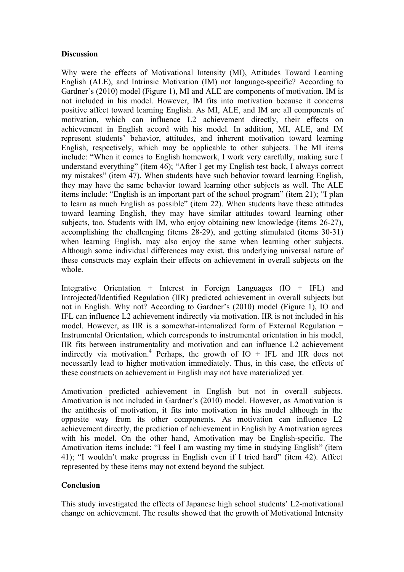## **Discussion**

Why were the effects of Motivational Intensity (MI), Attitudes Toward Learning English (ALE), and Intrinsic Motivation (IM) not language-specific? According to Gardner's (2010) model (Figure 1), MI and ALE are components of motivation. IM is not included in his model. However, IM fits into motivation because it concerns positive affect toward learning English. As MI, ALE, and IM are all components of motivation, which can influence L2 achievement directly, their effects on achievement in English accord with his model. In addition, MI, ALE, and IM represent students' behavior, attitudes, and inherent motivation toward learning English, respectively, which may be applicable to other subjects. The MI items include: "When it comes to English homework, I work very carefully, making sure I understand everything" (item 46); "After I get my English test back, I always correct my mistakes" (item 47). When students have such behavior toward learning English, they may have the same behavior toward learning other subjects as well. The ALE items include: "English is an important part of the school program" (item 21); "I plan to learn as much English as possible" (item 22). When students have these attitudes toward learning English, they may have similar attitudes toward learning other subjects, too. Students with IM, who enjoy obtaining new knowledge (items 26-27), accomplishing the challenging (items 28-29), and getting stimulated (items 30-31) when learning English, may also enjoy the same when learning other subjects. Although some individual differences may exist, this underlying universal nature of these constructs may explain their effects on achievement in overall subjects on the whole.

Integrative Orientation + Interest in Foreign Languages (IO + IFL) and Introjected/Identified Regulation (IIR) predicted achievement in overall subjects but not in English. Why not? According to Gardner's (2010) model (Figure 1), IO and IFL can influence L2 achievement indirectly via motivation. IIR is not included in his model. However, as IIR is a somewhat-internalized form of External Regulation + Instrumental Orientation, which corresponds to instrumental orientation in his model, IIR fits between instrumentality and motivation and can influence L2 achievement indirectly via motivation.<sup>4</sup> Perhaps, the growth of  $IO$  + IFL and IIR does not necessarily lead to higher motivation immediately. Thus, in this case, the effects of these constructs on achievement in English may not have materialized yet.

Amotivation predicted achievement in English but not in overall subjects. Amotivation is not included in Gardner's (2010) model. However, as Amotivation is the antithesis of motivation, it fits into motivation in his model although in the opposite way from its other components. As motivation can influence L2 achievement directly, the prediction of achievement in English by Amotivation agrees with his model. On the other hand, Amotivation may be English-specific. The Amotivation items include: "I feel I am wasting my time in studying English" (item 41); "I wouldn't make progress in English even if I tried hard" (item 42). Affect represented by these items may not extend beyond the subject.

# **Conclusion**

This study investigated the effects of Japanese high school students' L2-motivational change on achievement. The results showed that the growth of Motivational Intensity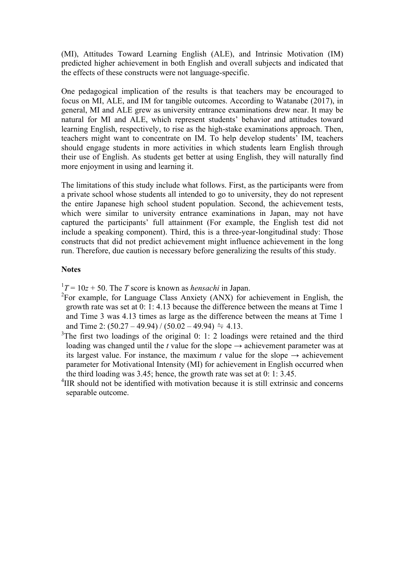(MI), Attitudes Toward Learning English (ALE), and Intrinsic Motivation (IM) predicted higher achievement in both English and overall subjects and indicated that the effects of these constructs were not language-specific.

One pedagogical implication of the results is that teachers may be encouraged to focus on MI, ALE, and IM for tangible outcomes. According to Watanabe (2017), in general, MI and ALE grew as university entrance examinations drew near. It may be natural for MI and ALE, which represent students' behavior and attitudes toward learning English, respectively, to rise as the high-stake examinations approach. Then, teachers might want to concentrate on IM. To help develop students' IM, teachers should engage students in more activities in which students learn English through their use of English. As students get better at using English, they will naturally find more enjoyment in using and learning it.

The limitations of this study include what follows. First, as the participants were from a private school whose students all intended to go to university, they do not represent the entire Japanese high school student population. Second, the achievement tests, which were similar to university entrance examinations in Japan, may not have captured the participants' full attainment (For example, the English test did not include a speaking component). Third, this is a three-year-longitudinal study: Those constructs that did not predict achievement might influence achievement in the long run. Therefore, due caution is necessary before generalizing the results of this study.

#### **Notes**

 $T^1T = 10z + 50$ . The *T* score is known as *hensachi* in Japan.

- ${}^{2}$ For example, for Language Class Anxiety (ANX) for achievement in English, the growth rate was set at 0: 1: 4.13 because the difference between the means at Time 1 and Time 3 was 4.13 times as large as the difference between the means at Time 1 and Time 2:  $(50.27 - 49.94) / (50.02 - 49.94) = 4.13$ .
- $3$ The first two loadings of the original 0: 1: 2 loadings were retained and the third loading was changed until the *t* value for the slope  $\rightarrow$  achievement parameter was at its largest value. For instance, the maximum *t* value for the slope  $\rightarrow$  achievement parameter for Motivational Intensity (MI) for achievement in English occurred when the third loading was  $3.45$ ; hence, the growth rate was set at 0: 1:  $3.45$ .
- $11$ <sup>4</sup>IIR should not be identified with motivation because it is still extrinsic and concerns separable outcome.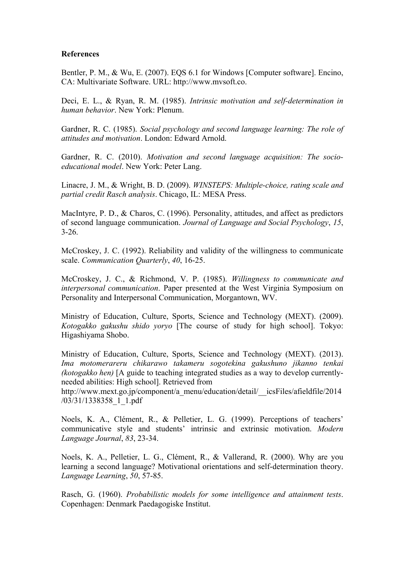#### **References**

Bentler, P. M., & Wu, E. (2007). EQS 6.1 for Windows [Computer software]. Encino, CA: Multivariate Software. URL: http://www.mvsoft.co.

Deci, E. L., & Ryan, R. M. (1985). *Intrinsic motivation and self-determination in human behavior*. New York: Plenum.

Gardner, R. C. (1985). *Social psychology and second language learning: The role of attitudes and motivation*. London: Edward Arnold.

Gardner, R. C. (2010). *Motivation and second language acquisition: The socioeducational model*. New York: Peter Lang.

Linacre, J. M., & Wright, B. D. (2009). *WINSTEPS: Multiple-choice, rating scale and partial credit Rasch analysis*. Chicago, IL: MESA Press.

MacIntyre, P. D., & Charos, C. (1996). Personality, attitudes, and affect as predictors of second language communication. *Journal of Language and Social Psychology*, *15*, 3-26.

McCroskey, J. C. (1992). Reliability and validity of the willingness to communicate scale. *Communication Quarterly*, *40*, 16-25.

McCroskey, J. C., & Richmond, V. P. (1985). *Willingness to communicate and interpersonal communication*. Paper presented at the West Virginia Symposium on Personality and Interpersonal Communication, Morgantown, WV.

Ministry of Education, Culture, Sports, Science and Technology (MEXT). (2009). *Kotogakko gakushu shido yoryo* [The course of study for high school]. Tokyo: Higashiyama Shobo.

Ministry of Education, Culture, Sports, Science and Technology (MEXT). (2013). *Ima motomerareru chikarawo takameru sogotekina gakushuno jikanno tenkai (kotogakko hen)* [A guide to teaching integrated studies as a way to develop currentlyneeded abilities: High school]. Retrieved from

http://www.mext.go.jp/component/a\_menu/education/detail/\_\_icsFiles/afieldfile/2014 /03/31/1338358\_1\_1.pdf

Noels, K. A., Clément, R., & Pelletier, L. G. (1999). Perceptions of teachers' communicative style and students' intrinsic and extrinsic motivation. *Modern Language Journal*, *83*, 23-34.

Noels, K. A., Pelletier, L. G., Clément, R., & Vallerand, R. (2000). Why are you learning a second language? Motivational orientations and self-determination theory. *Language Learning*, *50*, 57-85.

Rasch, G. (1960). *Probabilistic models for some intelligence and attainment tests*. Copenhagen: Denmark Paedagogiske Institut.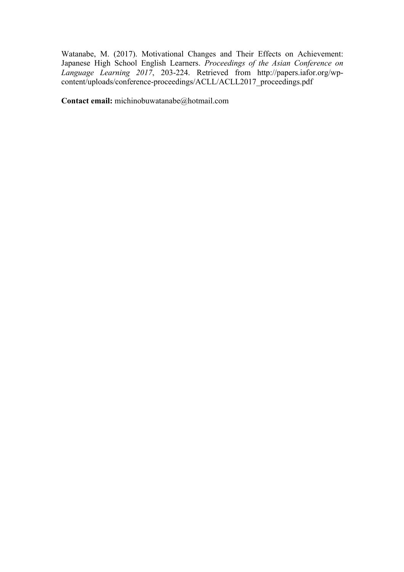Watanabe, M. (2017). Motivational Changes and Their Effects on Achievement: Japanese High School English Learners. *Proceedings of the Asian Conference on Language Learning 2017*, 203-224. Retrieved from http://papers.iafor.org/wpcontent/uploads/conference-proceedings/ACLL/ACLL2017\_proceedings.pdf

**Contact email:** michinobuwatanabe@hotmail.com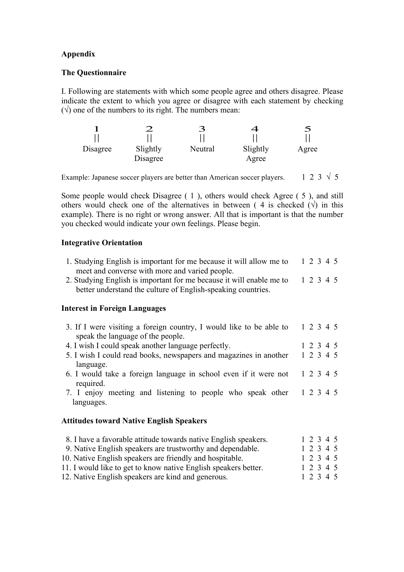# **Appendix**

## **The Questionnaire**

I. Following are statements with which some people agree and others disagree. Please indicate the extent to which you agree or disagree with each statement by checking  $(\sqrt{6})$  one of the numbers to its right. The numbers mean:

|          |          | 3       | 4        | $\mathfrak S$ |
|----------|----------|---------|----------|---------------|
|          |          |         |          |               |
| Disagree | Slightly | Neutral | Slightly | Agree         |
|          | Disagree |         | Agree    |               |

Example: Japanese soccer players are better than American soccer players. 1 2 3  $\sqrt{5}$ 

Some people would check Disagree ( 1 ), others would check Agree ( 5 ), and still others would check one of the alternatives in between (4 is checked  $(\sqrt{})$ ) in this example). There is no right or wrong answer. All that is important is that the number you checked would indicate your own feelings. Please begin.

# **Integrative Orientation**

| 1. Studying English is important for me because it will allow me to 1 2 3 4 5 |  |
|-------------------------------------------------------------------------------|--|
| meet and converse with more and varied people.                                |  |

2. Studying English is important for me because it will enable me to 1 2 3 4 5 better understand the culture of English-speaking countries.

# **Interest in Foreign Languages**

| 3. If I were visiting a foreign country, I would like to be able to<br>speak the language of the people. |  | 1 2 3 4 5 |  |
|----------------------------------------------------------------------------------------------------------|--|-----------|--|
| 4. I wish I could speak another language perfectly.                                                      |  | 1 2 3 4 5 |  |
| 5. I wish I could read books, newspapers and magazines in another 1 2 3 4 5                              |  |           |  |
| language.<br>6. I would take a foreign language in school even if it were not 1 2 3 4 5<br>required.     |  |           |  |
| 7. I enjoy meeting and listening to people who speak other 1 2 3 4 5<br>languages.                       |  |           |  |
| <b>Attitudes toward Native English Speakers</b>                                                          |  |           |  |
| 8. I have a favorable attitude towards native English speakers.                                          |  | 1 2 3 4 5 |  |
| 9. Native English speakers are trustworthy and dependable.                                               |  | 1 2 3 4 5 |  |
| 10. Native English speakers are friendly and hospitable.                                                 |  | 1 2 3 4 5 |  |

- 11. I would like to get to know native English speakers better. 1 2 3 4 5
- 11. I would like to get to know native English speakers better.  $1\ 2\ 3\ 4\ 5$ <br>12. Native English speakers are kind and generous.  $1\ 2\ 3\ 4\ 5$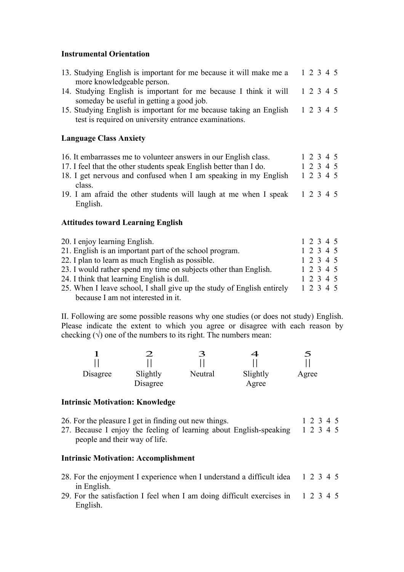## **Instrumental Orientation**

| 13. Studying English is important for me because it will make me a 1 2 3 4 5<br>more knowledgeable person.                            |  |
|---------------------------------------------------------------------------------------------------------------------------------------|--|
| 14. Studying English is important for me because I think it will 1 2 3 4 5<br>someday be useful in getting a good job.                |  |
| 15. Studying English is important for me because taking an English 1 2 3 4 5<br>test is required on university entrance examinations. |  |
| <b>Language Class Anxiety</b>                                                                                                         |  |

| 16. It embarrasses me to volunteer answers in our English class.           | 1 2 3 4 5 |
|----------------------------------------------------------------------------|-----------|
| 17. I feel that the other students speak English better than I do.         | 1 2 3 4 5 |
| 18. I get nervous and confused when I am speaking in my English            | 1 2 3 4 5 |
| class.                                                                     |           |
| 19. I am afraid the other students will laugh at me when I speak 1 2 3 4 5 |           |
| English.                                                                   |           |

# **Attitudes toward Learning English**

| 20. I enjoy learning English.                                          | 1 2 3 4 5 |
|------------------------------------------------------------------------|-----------|
| 21. English is an important part of the school program.                | 1 2 3 4 5 |
| 22. I plan to learn as much English as possible.                       | 1 2 3 4 5 |
| 23. I would rather spend my time on subjects other than English.       | 1 2 3 4 5 |
| 24. I think that learning English is dull.                             | 1 2 3 4 5 |
| 25. When I leave school, I shall give up the study of English entirely | 1 2 3 4 5 |
| because I am not interested in it.                                     |           |

II. Following are some possible reasons why one studies (or does not study) English. Please indicate the extent to which you agree or disagree with each reason by checking  $(\sqrt{)}$  one of the numbers to its right. The numbers mean:

|          |                      | 3       | 4                 | ᠫ     |
|----------|----------------------|---------|-------------------|-------|
| Disagree | Slightly<br>Disagree | Neutral | Slightly<br>Agree | Agree |

### **Intrinsic Motivation: Knowledge**

| 26. For the pleasure I get in finding out new things. | 1 2 3 4 5 |
|-------------------------------------------------------|-----------|
|-------------------------------------------------------|-----------|

27. Because I enjoy the feeling of learning about English-speaking 1 2 3 4 5 people and their way of life.

## **Intrinsic Motivation: Accomplishment**

| 28. For the enjoyment I experience when I understand a difficult idea 1 2 3 4 5 |  |  |           |  |
|---------------------------------------------------------------------------------|--|--|-----------|--|
| in English.                                                                     |  |  |           |  |
| 29 For the satisfaction I feel when I am doing difficult exercises in           |  |  | 1 2 3 4 5 |  |

29. For the satisfaction I feel when I am doing difficult exercises in 1 2 3 4 5 English.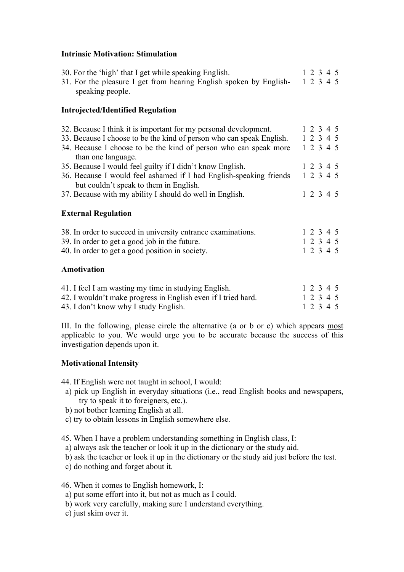## **Intrinsic Motivation: Stimulation**

| 30. For the 'high' that I get while speaking English.<br>31. For the pleasure I get from hearing English spoken by English- 1 2 3 4 5<br>speaking people.                                                                          |  | 1 2 3 4 5                           |  |
|------------------------------------------------------------------------------------------------------------------------------------------------------------------------------------------------------------------------------------|--|-------------------------------------|--|
| <b>Introjected/Identified Regulation</b>                                                                                                                                                                                           |  |                                     |  |
| 32. Because I think it is important for my personal development.<br>33. Because I choose to be the kind of person who can speak English.<br>34. Because I choose to be the kind of person who can speak more<br>than one language. |  | 1 2 3 4 5<br>1 2 3 4 5<br>1 2 3 4 5 |  |
| 35. Because I would feel guilty if I didn't know English.<br>36. Because I would feel ashamed if I had English-speaking friends<br>but couldn't speak to them in English.                                                          |  | 1 2 3 4 5<br>1 2 3 4 5              |  |
| 37. Because with my ability I should do well in English.                                                                                                                                                                           |  | 1 2 3 4 5                           |  |
| <b>External Regulation</b>                                                                                                                                                                                                         |  |                                     |  |
| 38. In order to succeed in university entrance examinations.<br>39. In order to get a good job in the future.<br>40. In order to get a good position in society.<br>Amotivation                                                    |  | 1 2 3 4 5<br>1 2 3 4 5<br>1 2 3 4 5 |  |
|                                                                                                                                                                                                                                    |  |                                     |  |

| 41. I feel I am wasting my time in studying English.          |  |  | 1 2 3 4 5 |
|---------------------------------------------------------------|--|--|-----------|
| 42. I wouldn't make progress in English even if I tried hard. |  |  | 1 2 3 4 5 |
| 43. I don't know why I study English.                         |  |  | 1 2 3 4 5 |

III. In the following, please circle the alternative (a or b or c) which appears most applicable to you. We would urge you to be accurate because the success of this investigation depends upon it.

# **Motivational Intensity**

44. If English were not taught in school, I would:

- a) pick up English in everyday situations (i.e., read English books and newspapers, try to speak it to foreigners, etc.).
- b) not bother learning English at all.
- c) try to obtain lessons in English somewhere else.
- 45. When I have a problem understanding something in English class, I:
- a) always ask the teacher or look it up in the dictionary or the study aid.
- b) ask the teacher or look it up in the dictionary or the study aid just before the test.
- c) do nothing and forget about it.

46. When it comes to English homework, I:

- a) put some effort into it, but not as much as I could.
- b) work very carefully, making sure I understand everything.
- c) just skim over it.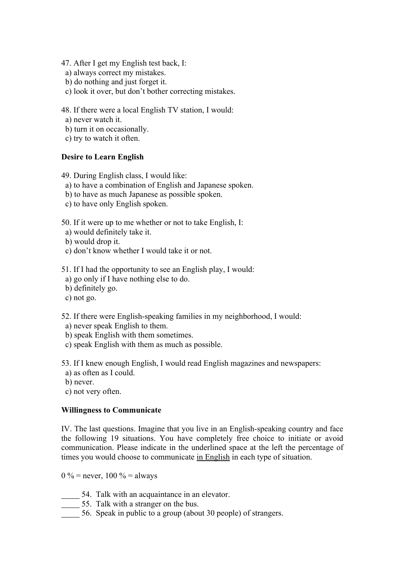47. After I get my English test back, I:

- a) always correct my mistakes.
- b) do nothing and just forget it.
- c) look it over, but don't bother correcting mistakes.

48. If there were a local English TV station, I would:

- a) never watch it.
- b) turn it on occasionally.
- c) try to watch it often.

# **Desire to Learn English**

49. During English class, I would like:

- a) to have a combination of English and Japanese spoken.
- b) to have as much Japanese as possible spoken.
- c) to have only English spoken.

50. If it were up to me whether or not to take English, I:

- a) would definitely take it.
- b) would drop it.
- c) don't know whether I would take it or not.

51. If I had the opportunity to see an English play, I would:

- a) go only if I have nothing else to do.
- b) definitely go.
- c) not go.

52. If there were English-speaking families in my neighborhood, I would:

- a) never speak English to them.
- b) speak English with them sometimes.
- c) speak English with them as much as possible.

53. If I knew enough English, I would read English magazines and newspapers:

- a) as often as I could.
- b) never.

c) not very often.

### **Willingness to Communicate**

IV. The last questions. Imagine that you live in an English-speaking country and face the following 19 situations. You have completely free choice to initiate or avoid communication. Please indicate in the underlined space at the left the percentage of times you would choose to communicate in English in each type of situation.

0 % = never, 100 % = always

- 54. Talk with an acquaintance in an elevator.
- 55. Talk with a stranger on the bus.
- 56. Speak in public to a group (about 30 people) of strangers.